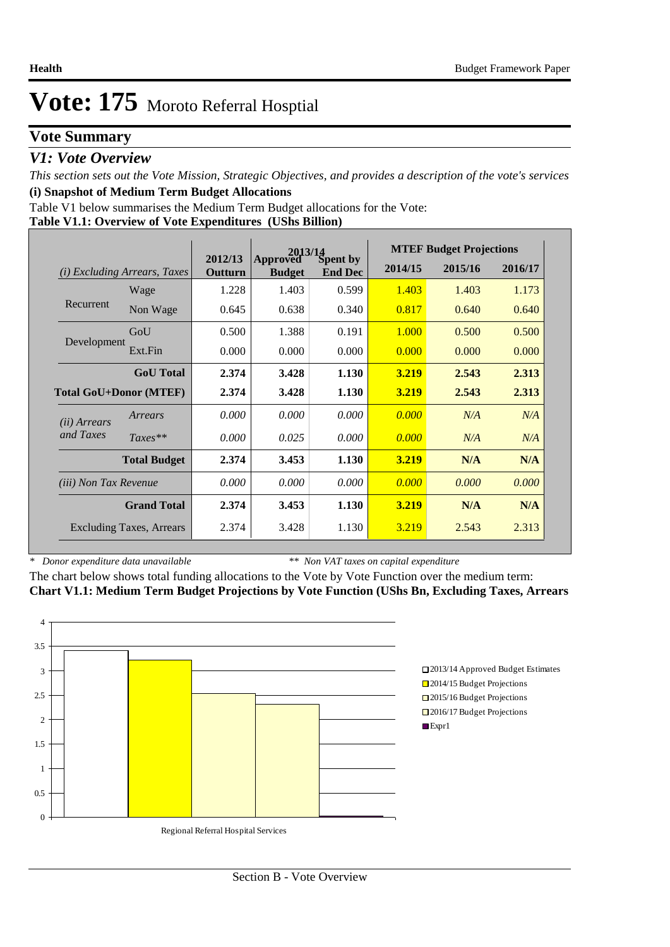## **Vote Summary**

## *V1: Vote Overview*

*This section sets out the Vote Mission, Strategic Objectives, and provides a description of the vote's services* **(i) Snapshot of Medium Term Budget Allocations** 

Table V1 below summarises the Medium Term Budget allocations for the Vote:

## **Table V1.1: Overview of Vote Expenditures (UShs Billion)**

|                               |                                 |                    | Approved Spent by |                |         | <b>MTEF Budget Projections</b> |         |
|-------------------------------|---------------------------------|--------------------|-------------------|----------------|---------|--------------------------------|---------|
| (i)                           | <i>Excluding Arrears, Taxes</i> | 2012/13<br>Outturn | <b>Budget</b>     | <b>End Dec</b> | 2014/15 | 2015/16                        | 2016/17 |
|                               | Wage                            | 1.228              | 1.403             | 0.599          | 1.403   | 1.403                          | 1.173   |
| Recurrent                     | Non Wage                        | 0.645              | 0.638             | 0.340          | 0.817   | 0.640                          | 0.640   |
|                               | GoU                             | 0.500              | 1.388             | 0.191          | 1.000   | 0.500                          | 0.500   |
| Development                   | Ext.Fin                         | 0.000              | 0.000             | 0.000          | 0.000   | 0.000                          | 0.000   |
|                               | <b>GoU</b> Total                | 2.374              | 3.428             | 1.130          | 3.219   | 2.543                          | 2.313   |
| <b>Total GoU+Donor (MTEF)</b> |                                 | 2.374              | 3.428             | 1.130          | 3.219   | 2.543                          | 2.313   |
| ( <i>ii</i> ) Arrears         | Arrears                         | 0.000              | 0.000             | 0.000          | 0.000   | N/A                            | N/A     |
| and Taxes                     | $Taxes**$                       | 0.000              | 0.025             | 0.000          | 0.000   | N/A                            | N/A     |
|                               | <b>Total Budget</b>             | 2.374              | 3.453             | 1.130          | 3.219   | N/A                            | N/A     |
| <i>(iii)</i> Non Tax Revenue  |                                 | 0.000              | 0.000             | 0.000          | 0.000   | 0.000                          | 0.000   |
|                               | <b>Grand Total</b>              | 2.374              | 3.453             | 1.130          | 3.219   | N/A                            | N/A     |
|                               | <b>Excluding Taxes, Arrears</b> | 2.374              | 3.428             | 1.130          | 3.219   | 2.543                          | 2.313   |

*\* Donor expenditure data unavailable*

*\*\* Non VAT taxes on capital expenditure*

The chart below shows total funding allocations to the Vote by Vote Function over the medium term: **Chart V1.1: Medium Term Budget Projections by Vote Function (UShs Bn, Excluding Taxes, Arrears**

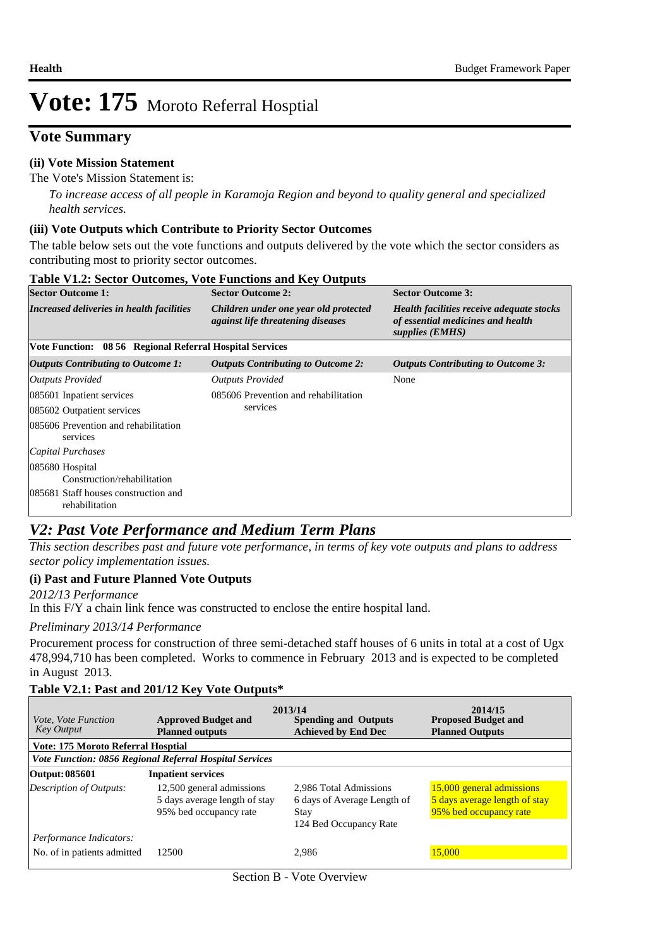## **Vote Summary**

## **(ii) Vote Mission Statement**

#### The Vote's Mission Statement is:

*To increase access of all people in Karamoja Region and beyond to quality general and specialized health services.*

### **(iii) Vote Outputs which Contribute to Priority Sector Outcomes**

The table below sets out the vote functions and outputs delivered by the vote which the sector considers as contributing most to priority sector outcomes.

| <b>Table V1.2: Sector Outcomes, Vote Functions and Key Outputs</b> |                                                                                   |                                                                                                   |  |  |  |  |  |  |  |
|--------------------------------------------------------------------|-----------------------------------------------------------------------------------|---------------------------------------------------------------------------------------------------|--|--|--|--|--|--|--|
| <b>Sector Outcome 1:</b>                                           | <b>Sector Outcome 2:</b>                                                          | <b>Sector Outcome 3:</b>                                                                          |  |  |  |  |  |  |  |
| Increased deliveries in health facilities                          | Children under one year old protected<br><i>against life threatening diseases</i> | Health facilities receive adequate stocks<br>of essential medicines and health<br>supplies (EMHS) |  |  |  |  |  |  |  |
| Vote Function: 08 56 Regional Referral Hospital Services           |                                                                                   |                                                                                                   |  |  |  |  |  |  |  |
| <b>Outputs Contributing to Outcome 1:</b>                          | <b>Outputs Contributing to Outcome 2:</b>                                         | <b>Outputs Contributing to Outcome 3:</b>                                                         |  |  |  |  |  |  |  |
| Outputs Provided                                                   | <b>Outputs Provided</b>                                                           | None                                                                                              |  |  |  |  |  |  |  |
| 085601 Inpatient services                                          | 085606 Prevention and rehabilitation                                              |                                                                                                   |  |  |  |  |  |  |  |
| 085602 Outpatient services                                         | services                                                                          |                                                                                                   |  |  |  |  |  |  |  |
| 085606 Prevention and rehabilitation<br>services                   |                                                                                   |                                                                                                   |  |  |  |  |  |  |  |
| Capital Purchases                                                  |                                                                                   |                                                                                                   |  |  |  |  |  |  |  |
| 085680 Hospital<br>Construction/rehabilitation                     |                                                                                   |                                                                                                   |  |  |  |  |  |  |  |
| 085681 Staff houses construction and<br>rehabilitation             |                                                                                   |                                                                                                   |  |  |  |  |  |  |  |

## *V2: Past Vote Performance and Medium Term Plans*

*This section describes past and future vote performance, in terms of key vote outputs and plans to address sector policy implementation issues.* 

### **(i) Past and Future Planned Vote Outputs**

In this F/Y a chain link fence was constructed to enclose the entire hospital land. *2012/13 Performance*

### *Preliminary 2013/14 Performance*

Procurement process for construction of three semi-detached staff houses of 6 units in total at a cost of Ugx 478,994,710 has been completed. Works to commence in February 2013 and is expected to be completed in August 2013.

### **Table V2.1: Past and 201/12 Key Vote Outputs\***

| <i>Vote, Vote Function</i><br><b>Key Output</b>        | <b>Approved Budget and</b><br><b>Planned outputs</b>                                 | 2013/14<br><b>Spending and Outputs</b><br><b>Achieved by End Dec</b>                    | 2014/15<br><b>Proposed Budget and</b><br><b>Planned Outputs</b>                      |
|--------------------------------------------------------|--------------------------------------------------------------------------------------|-----------------------------------------------------------------------------------------|--------------------------------------------------------------------------------------|
| <b>Vote: 175 Moroto Referral Hosptial</b>              |                                                                                      |                                                                                         |                                                                                      |
|                                                        | <b>Vote Function: 0856 Regional Referral Hospital Services</b>                       |                                                                                         |                                                                                      |
| Output: 085601                                         | <b>Inpatient services</b>                                                            |                                                                                         |                                                                                      |
| Description of Outputs:                                | 12,500 general admissions<br>5 days average length of stay<br>95% bed occupancy rate | 2,986 Total Admissions<br>6 days of Average Length of<br>Stay<br>124 Bed Occupancy Rate | 15,000 general admissions<br>5 days average length of stay<br>95% bed occupancy rate |
| Performance Indicators:<br>No. of in patients admitted | 12500                                                                                | 2.986                                                                                   | 15,000                                                                               |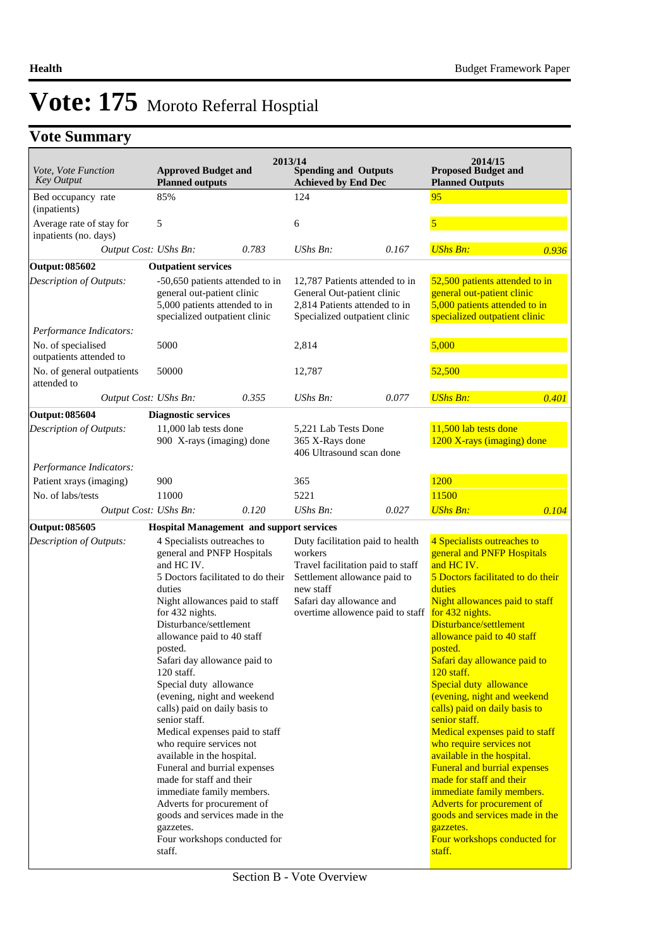## **Vote Summary**

|                                                    |                                                                                                                                                                                                                                                                                                                                                                                                                                                                                                                                                                                                                                                                                                                     | 2013/14                                                                                                                                                                                       |       | 2014/15                                                                                                                                                                                                                                                                                                                                                                                                                                                                                                                                                                                                                                                                                                                    |       |
|----------------------------------------------------|---------------------------------------------------------------------------------------------------------------------------------------------------------------------------------------------------------------------------------------------------------------------------------------------------------------------------------------------------------------------------------------------------------------------------------------------------------------------------------------------------------------------------------------------------------------------------------------------------------------------------------------------------------------------------------------------------------------------|-----------------------------------------------------------------------------------------------------------------------------------------------------------------------------------------------|-------|----------------------------------------------------------------------------------------------------------------------------------------------------------------------------------------------------------------------------------------------------------------------------------------------------------------------------------------------------------------------------------------------------------------------------------------------------------------------------------------------------------------------------------------------------------------------------------------------------------------------------------------------------------------------------------------------------------------------------|-------|
| Vote, Vote Function<br><b>Key Output</b>           | <b>Approved Budget and</b><br><b>Planned outputs</b>                                                                                                                                                                                                                                                                                                                                                                                                                                                                                                                                                                                                                                                                | <b>Spending and Outputs</b><br><b>Achieved by End Dec</b>                                                                                                                                     |       | <b>Proposed Budget and</b><br><b>Planned Outputs</b>                                                                                                                                                                                                                                                                                                                                                                                                                                                                                                                                                                                                                                                                       |       |
| Bed occupancy rate<br>(inpatients)                 | 85%                                                                                                                                                                                                                                                                                                                                                                                                                                                                                                                                                                                                                                                                                                                 | 124                                                                                                                                                                                           |       | 95                                                                                                                                                                                                                                                                                                                                                                                                                                                                                                                                                                                                                                                                                                                         |       |
| Average rate of stay for<br>inpatients (no. days)  | 5                                                                                                                                                                                                                                                                                                                                                                                                                                                                                                                                                                                                                                                                                                                   | 6                                                                                                                                                                                             |       | 5                                                                                                                                                                                                                                                                                                                                                                                                                                                                                                                                                                                                                                                                                                                          |       |
| Output Cost: UShs Bn:                              | 0.783                                                                                                                                                                                                                                                                                                                                                                                                                                                                                                                                                                                                                                                                                                               | UShs Bn:                                                                                                                                                                                      | 0.167 | <b>UShs Bn:</b>                                                                                                                                                                                                                                                                                                                                                                                                                                                                                                                                                                                                                                                                                                            | 0.936 |
| <b>Output: 085602</b>                              | <b>Outpatient services</b>                                                                                                                                                                                                                                                                                                                                                                                                                                                                                                                                                                                                                                                                                          |                                                                                                                                                                                               |       |                                                                                                                                                                                                                                                                                                                                                                                                                                                                                                                                                                                                                                                                                                                            |       |
| Description of Outputs:<br>Performance Indicators: | -50,650 patients attended to in<br>general out-patient clinic<br>5,000 patients attended to in<br>specialized outpatient clinic                                                                                                                                                                                                                                                                                                                                                                                                                                                                                                                                                                                     | 12,787 Patients attended to in<br>General Out-patient clinic<br>2,814 Patients attended to in<br>Specialized outpatient clinic                                                                |       | 52,500 patients attended to in<br>general out-patient clinic<br>5,000 patients attended to in<br>specialized outpatient clinic                                                                                                                                                                                                                                                                                                                                                                                                                                                                                                                                                                                             |       |
| No. of specialised<br>outpatients attended to      | 5000                                                                                                                                                                                                                                                                                                                                                                                                                                                                                                                                                                                                                                                                                                                | 2,814                                                                                                                                                                                         |       | 5,000                                                                                                                                                                                                                                                                                                                                                                                                                                                                                                                                                                                                                                                                                                                      |       |
| No. of general outpatients<br>attended to          | 50000                                                                                                                                                                                                                                                                                                                                                                                                                                                                                                                                                                                                                                                                                                               | 12,787                                                                                                                                                                                        |       | 52,500                                                                                                                                                                                                                                                                                                                                                                                                                                                                                                                                                                                                                                                                                                                     |       |
| Output Cost: UShs Bn:                              | 0.355                                                                                                                                                                                                                                                                                                                                                                                                                                                                                                                                                                                                                                                                                                               | <b>UShs Bn:</b>                                                                                                                                                                               | 0.077 | <b>UShs Bn:</b>                                                                                                                                                                                                                                                                                                                                                                                                                                                                                                                                                                                                                                                                                                            | 0.401 |
| <b>Output: 085604</b>                              | <b>Diagnostic services</b>                                                                                                                                                                                                                                                                                                                                                                                                                                                                                                                                                                                                                                                                                          |                                                                                                                                                                                               |       |                                                                                                                                                                                                                                                                                                                                                                                                                                                                                                                                                                                                                                                                                                                            |       |
| Description of Outputs:                            | 11,000 lab tests done<br>900 X-rays (imaging) done                                                                                                                                                                                                                                                                                                                                                                                                                                                                                                                                                                                                                                                                  | 5,221 Lab Tests Done<br>365 X-Rays done<br>406 Ultrasound scan done                                                                                                                           |       | 11,500 lab tests done<br>1200 X-rays (imaging) done                                                                                                                                                                                                                                                                                                                                                                                                                                                                                                                                                                                                                                                                        |       |
| Performance Indicators:                            |                                                                                                                                                                                                                                                                                                                                                                                                                                                                                                                                                                                                                                                                                                                     |                                                                                                                                                                                               |       |                                                                                                                                                                                                                                                                                                                                                                                                                                                                                                                                                                                                                                                                                                                            |       |
| Patient xrays (imaging)                            | 900                                                                                                                                                                                                                                                                                                                                                                                                                                                                                                                                                                                                                                                                                                                 | 365                                                                                                                                                                                           |       | 1200                                                                                                                                                                                                                                                                                                                                                                                                                                                                                                                                                                                                                                                                                                                       |       |
| No. of labs/tests                                  | 11000                                                                                                                                                                                                                                                                                                                                                                                                                                                                                                                                                                                                                                                                                                               | 5221                                                                                                                                                                                          |       | 11500                                                                                                                                                                                                                                                                                                                                                                                                                                                                                                                                                                                                                                                                                                                      |       |
| Output Cost: UShs Bn:                              | 0.120                                                                                                                                                                                                                                                                                                                                                                                                                                                                                                                                                                                                                                                                                                               | $UShs Bn$ :                                                                                                                                                                                   | 0.027 | <b>UShs Bn:</b>                                                                                                                                                                                                                                                                                                                                                                                                                                                                                                                                                                                                                                                                                                            | 0.104 |
| <b>Output: 085605</b>                              | <b>Hospital Management and support services</b>                                                                                                                                                                                                                                                                                                                                                                                                                                                                                                                                                                                                                                                                     |                                                                                                                                                                                               |       |                                                                                                                                                                                                                                                                                                                                                                                                                                                                                                                                                                                                                                                                                                                            |       |
| <b>Description of Outputs:</b>                     | 4 Specialists outreaches to<br>general and PNFP Hospitals<br>and HC IV.<br>5 Doctors facilitated to do their<br>duties<br>Night allowances paid to staff<br>for 432 nights.<br>Disturbance/settlement<br>allowance paid to 40 staff<br>posted.<br>Safari day allowance paid to<br>120 staff.<br>Special duty allowance<br>(evening, night and weekend<br>calls) paid on daily basis to<br>senior staff.<br>Medical expenses paid to staff<br>who require services not<br>available in the hospital.<br>Funeral and burrial expenses<br>made for staff and their<br>immediate family members.<br>Adverts for procurement of<br>goods and services made in the<br>gazzetes.<br>Four workshops conducted for<br>staff. | Duty facilitation paid to health<br>workers<br>Travel facilitation paid to staff<br>Settlement allowance paid to<br>new staff<br>Safari day allowance and<br>overtime allowence paid to staff |       | 4 Specialists outreaches to<br>general and PNFP Hospitals<br>and HC IV.<br>5 Doctors facilitated to do their<br>duties<br>Night allowances paid to staff<br>for 432 nights.<br>Disturbance/settlement<br>allowance paid to 40 staff<br>posted.<br>Safari day allowance paid to<br>120 staff.<br>Special duty allowance<br>(evening, night and weekend<br>calls) paid on daily basis to<br>senior staff.<br>Medical expenses paid to staff<br>who require services not<br>available in the hospital.<br><b>Funeral and burrial expenses</b><br>made for staff and their<br>immediate family members.<br>Adverts for procurement of<br>goods and services made in the<br>gazzetes.<br>Four workshops conducted for<br>staff. |       |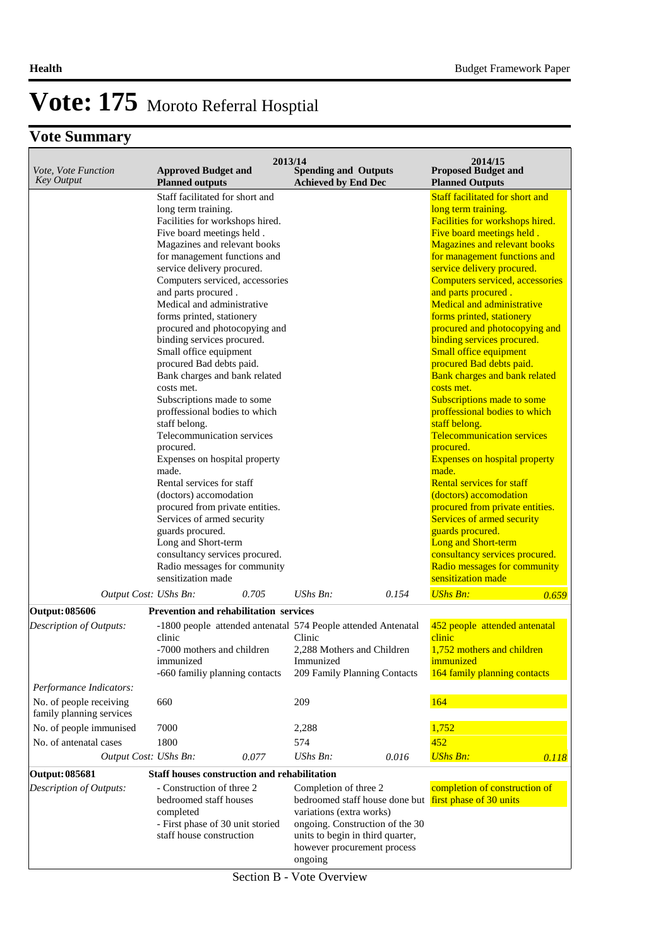## **Vote Summary**

| Vote, Vote Function<br><b>Key Output</b>           | <b>Approved Budget and</b><br><b>Planned outputs</b>                                                                                                                                                                                                                                                                                                                                                                                                                                                                                                                                                                                                                                                                                                                                                                                                                                                                                          | 2013/14 | <b>Spending and Outputs</b><br><b>Achieved by End Dec</b>                                                                       |                                                                   | 2014/15<br><b>Proposed Budget and</b><br><b>Planned Outputs</b>                                                                                                                                                                                                                                                                                                                                                                                                                                                                                                                                                                                                                                                                                                                                                                                                                                                                                                                                       |       |
|----------------------------------------------------|-----------------------------------------------------------------------------------------------------------------------------------------------------------------------------------------------------------------------------------------------------------------------------------------------------------------------------------------------------------------------------------------------------------------------------------------------------------------------------------------------------------------------------------------------------------------------------------------------------------------------------------------------------------------------------------------------------------------------------------------------------------------------------------------------------------------------------------------------------------------------------------------------------------------------------------------------|---------|---------------------------------------------------------------------------------------------------------------------------------|-------------------------------------------------------------------|-------------------------------------------------------------------------------------------------------------------------------------------------------------------------------------------------------------------------------------------------------------------------------------------------------------------------------------------------------------------------------------------------------------------------------------------------------------------------------------------------------------------------------------------------------------------------------------------------------------------------------------------------------------------------------------------------------------------------------------------------------------------------------------------------------------------------------------------------------------------------------------------------------------------------------------------------------------------------------------------------------|-------|
|                                                    | Staff facilitated for short and<br>long term training.<br>Facilities for workshops hired.<br>Five board meetings held.<br>Magazines and relevant books<br>for management functions and<br>service delivery procured.<br>Computers serviced, accessories<br>and parts procured.<br>Medical and administrative<br>forms printed, stationery<br>procured and photocopying and<br>binding services procured.<br>Small office equipment<br>procured Bad debts paid.<br>Bank charges and bank related<br>costs met.<br>Subscriptions made to some<br>proffessional bodies to which<br>staff belong.<br>Telecommunication services<br>procured.<br>Expenses on hospital property<br>made.<br>Rental services for staff<br>(doctors) accomodation<br>procured from private entities.<br>Services of armed security<br>guards procured.<br>Long and Short-term<br>consultancy services procured.<br>Radio messages for community<br>sensitization made |         |                                                                                                                                 |                                                                   | <b>Staff facilitated for short and</b><br>long term training.<br>Facilities for workshops hired.<br>Five board meetings held.<br><b>Magazines and relevant books</b><br>for management functions and<br>service delivery procured.<br>Computers serviced, accessories<br>and parts procured.<br><b>Medical and administrative</b><br>forms printed, stationery<br>procured and photocopying and<br>binding services procured.<br>Small office equipment<br>procured Bad debts paid.<br><b>Bank charges and bank related</b><br>costs met.<br>Subscriptions made to some<br>proffessional bodies to which<br>staff belong.<br><b>Telecommunication services</b><br>procured.<br><b>Expenses on hospital property</b><br>made.<br><b>Rental services for staff</b><br>(doctors) accomodation<br>procured from private entities.<br>Services of armed security<br>guards procured.<br><b>Long and Short-term</b><br>consultancy services procured.<br>Radio messages for community<br>sensitization made |       |
|                                                    | Output Cost: UShs Bn:                                                                                                                                                                                                                                                                                                                                                                                                                                                                                                                                                                                                                                                                                                                                                                                                                                                                                                                         | 0.705   | $UShs Bn$ :                                                                                                                     | 0.154                                                             | <b>UShs Bn:</b>                                                                                                                                                                                                                                                                                                                                                                                                                                                                                                                                                                                                                                                                                                                                                                                                                                                                                                                                                                                       | 0.659 |
| <b>Output: 085606</b><br>Description of Outputs:   | Prevention and rehabilitation services<br>-1800 people attended antenatal 574 People attended Antenatal<br>clinic<br>-7000 mothers and children<br>immunized<br>-660 familiy planning contacts                                                                                                                                                                                                                                                                                                                                                                                                                                                                                                                                                                                                                                                                                                                                                |         | Clinic<br>2,288 Mothers and Children<br>Immunized<br>209 Family Planning Contacts                                               |                                                                   | 452 people attended antenatal<br>clinic<br>1,752 mothers and children<br>immunized<br>164 family planning contacts                                                                                                                                                                                                                                                                                                                                                                                                                                                                                                                                                                                                                                                                                                                                                                                                                                                                                    |       |
| Performance Indicators:<br>No. of people receiving | 660                                                                                                                                                                                                                                                                                                                                                                                                                                                                                                                                                                                                                                                                                                                                                                                                                                                                                                                                           |         | 209                                                                                                                             |                                                                   | 164                                                                                                                                                                                                                                                                                                                                                                                                                                                                                                                                                                                                                                                                                                                                                                                                                                                                                                                                                                                                   |       |
| family planning services                           |                                                                                                                                                                                                                                                                                                                                                                                                                                                                                                                                                                                                                                                                                                                                                                                                                                                                                                                                               |         |                                                                                                                                 |                                                                   |                                                                                                                                                                                                                                                                                                                                                                                                                                                                                                                                                                                                                                                                                                                                                                                                                                                                                                                                                                                                       |       |
| No. of people immunised                            | 7000                                                                                                                                                                                                                                                                                                                                                                                                                                                                                                                                                                                                                                                                                                                                                                                                                                                                                                                                          |         | 2,288                                                                                                                           |                                                                   | 1,752                                                                                                                                                                                                                                                                                                                                                                                                                                                                                                                                                                                                                                                                                                                                                                                                                                                                                                                                                                                                 |       |
| No. of antenatal cases                             | 1800<br>Output Cost: UShs Bn:                                                                                                                                                                                                                                                                                                                                                                                                                                                                                                                                                                                                                                                                                                                                                                                                                                                                                                                 | 0.077   | 574<br>UShs Bn:                                                                                                                 | 0.016                                                             | 452                                                                                                                                                                                                                                                                                                                                                                                                                                                                                                                                                                                                                                                                                                                                                                                                                                                                                                                                                                                                   |       |
|                                                    |                                                                                                                                                                                                                                                                                                                                                                                                                                                                                                                                                                                                                                                                                                                                                                                                                                                                                                                                               |         |                                                                                                                                 |                                                                   | <b>UShs Bn:</b>                                                                                                                                                                                                                                                                                                                                                                                                                                                                                                                                                                                                                                                                                                                                                                                                                                                                                                                                                                                       | 0.118 |
| <b>Output: 085681</b><br>Description of Outputs:   | Staff houses construction and rehabilitation<br>- Construction of three 2<br>bedroomed staff houses<br>completed<br>- First phase of 30 unit storied<br>staff house construction                                                                                                                                                                                                                                                                                                                                                                                                                                                                                                                                                                                                                                                                                                                                                              |         | Completion of three 2<br>variations (extra works)<br>units to begin in third quarter,<br>however procurement process<br>ongoing | bedroomed staff house done but<br>ongoing. Construction of the 30 | completion of construction of<br>first phase of 30 units                                                                                                                                                                                                                                                                                                                                                                                                                                                                                                                                                                                                                                                                                                                                                                                                                                                                                                                                              |       |

**Section B - Vote Overview**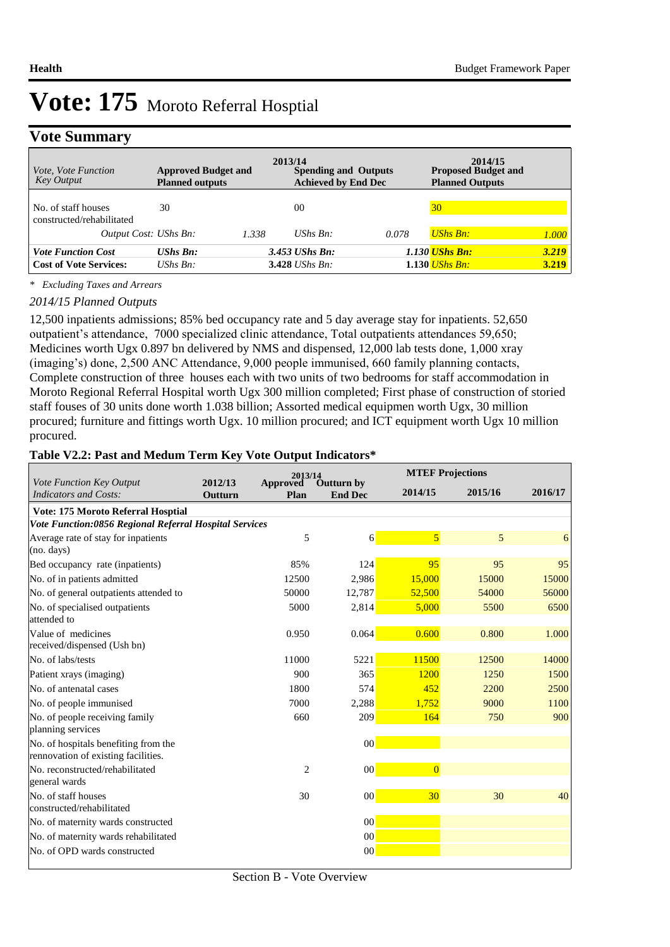## **Vote Summary**

| <i>Vote, Vote Function</i><br><b>Key Output</b>            | <b>Approved Budget and</b><br><b>Planned outputs</b> |       | 2013/14<br><b>Spending and Outputs</b><br><b>Achieved by End Dec</b> |       | 2014/15<br><b>Proposed Budget and</b><br><b>Planned Outputs</b> |                  |
|------------------------------------------------------------|------------------------------------------------------|-------|----------------------------------------------------------------------|-------|-----------------------------------------------------------------|------------------|
| No. of staff houses<br>constructed/rehabilitated           | 30                                                   |       | 00                                                                   |       | 30                                                              |                  |
| Output Cost: UShs Bn:                                      |                                                      | 1.338 | UShs $Bn$ :                                                          | 0.078 | <b>UShs Bn:</b>                                                 | 1.000            |
| <b>Vote Function Cost</b><br><b>Cost of Vote Services:</b> | $UShs Bn:$<br>UShs $Bn$ :                            |       | $3.453$ UShs Bn:<br>3.428 <i>UShs Bn</i> :                           |       | 1.130 <b>UShs Bn:</b><br>1.130 <i>UShs Bn</i> :                 | $3.219$<br>3.219 |

*\* Excluding Taxes and Arrears*

#### *2014/15 Planned Outputs*

12,500 inpatients admissions; 85% bed occupancy rate and 5 day average stay for inpatients. 52,650 outpatient's attendance, 7000 specialized clinic attendance, Total outpatients attendances 59,650; Medicines worth Ugx 0.897 bn delivered by NMS and dispensed, 12,000 lab tests done, 1,000 xray (imaging's) done, 2,500 ANC Attendance, 9,000 people immunised, 660 family planning contacts, Complete construction of three houses each with two units of two bedrooms for staff accommodation in Moroto Regional Referral Hospital worth Ugx 300 million completed; First phase of construction of storied staff fouses of 30 units done worth 1.038 billion; Assorted medical equipmen worth Ugx, 30 million procured; furniture and fittings worth Ugx. 10 million procured; and ICT equipment worth Ugx 10 million procured.

### **Table V2.2: Past and Medum Term Key Vote Output Indicators\***

|                                                                             |                    | 2013/14                 |                                     |                         | <b>MTEF Projections</b> |         |  |  |
|-----------------------------------------------------------------------------|--------------------|-------------------------|-------------------------------------|-------------------------|-------------------------|---------|--|--|
| Vote Function Key Output<br>Indicators and Costs:                           | 2012/13<br>Outturn | <b>Approved</b><br>Plan | <b>Outturn by</b><br><b>End Dec</b> | 2014/15                 | 2015/16                 | 2016/17 |  |  |
| Vote: 175 Moroto Referral Hosptial                                          |                    |                         |                                     |                         |                         |         |  |  |
| Vote Function:0856 Regional Referral Hospital Services                      |                    |                         |                                     |                         |                         |         |  |  |
| Average rate of stay for inpatients                                         |                    | 5                       | 6                                   | $\overline{\mathbf{5}}$ | 5                       | 6       |  |  |
| $(no.$ days)                                                                |                    |                         |                                     |                         |                         |         |  |  |
| Bed occupancy rate (inpatients)                                             |                    | 85%                     | 124                                 | 95                      | 95                      | 95      |  |  |
| No. of in patients admitted                                                 |                    | 12500                   | 2,986                               | 15,000                  | 15000                   | 15000   |  |  |
| No. of general outpatients attended to                                      |                    | 50000                   | 12,787                              | 52,500                  | 54000                   | 56000   |  |  |
| No. of specialised outpatients<br>attended to                               |                    | 5000                    | 2,814                               | 5,000                   | 5500                    | 6500    |  |  |
| Value of medicines<br>received/dispensed (Ush bn)                           |                    | 0.950                   | 0.064                               | 0.600                   | 0.800                   | 1.000   |  |  |
| No. of labs/tests                                                           |                    | 11000                   | 5221                                | 11500                   | 12500                   | 14000   |  |  |
| Patient xrays (imaging)                                                     |                    | 900                     | 365                                 | 1200                    | 1250                    | 1500    |  |  |
| No. of antenatal cases                                                      |                    | 1800                    | 574                                 | 452                     | 2200                    | 2500    |  |  |
| No. of people immunised                                                     |                    | 7000                    | 2,288                               | 1.752                   | 9000                    | 1100    |  |  |
| No. of people receiving family                                              |                    | 660                     | 209                                 | 164                     | 750                     | 900     |  |  |
| planning services                                                           |                    |                         |                                     |                         |                         |         |  |  |
| No. of hospitals benefiting from the<br>rennovation of existing facilities. |                    |                         | 00                                  |                         |                         |         |  |  |
| No. reconstructed/rehabilitated<br>general wards                            |                    | $\overline{2}$          | $00\,$                              | $\overline{0}$          |                         |         |  |  |
| No. of staff houses<br>constructed/rehabilitated                            |                    | 30                      | 00                                  | 30                      | 30                      | 40      |  |  |
| No. of maternity wards constructed                                          |                    |                         | 00                                  |                         |                         |         |  |  |
| No. of maternity wards rehabilitated                                        |                    |                         | 00                                  |                         |                         |         |  |  |
| No. of OPD wards constructed                                                |                    |                         | 00                                  |                         |                         |         |  |  |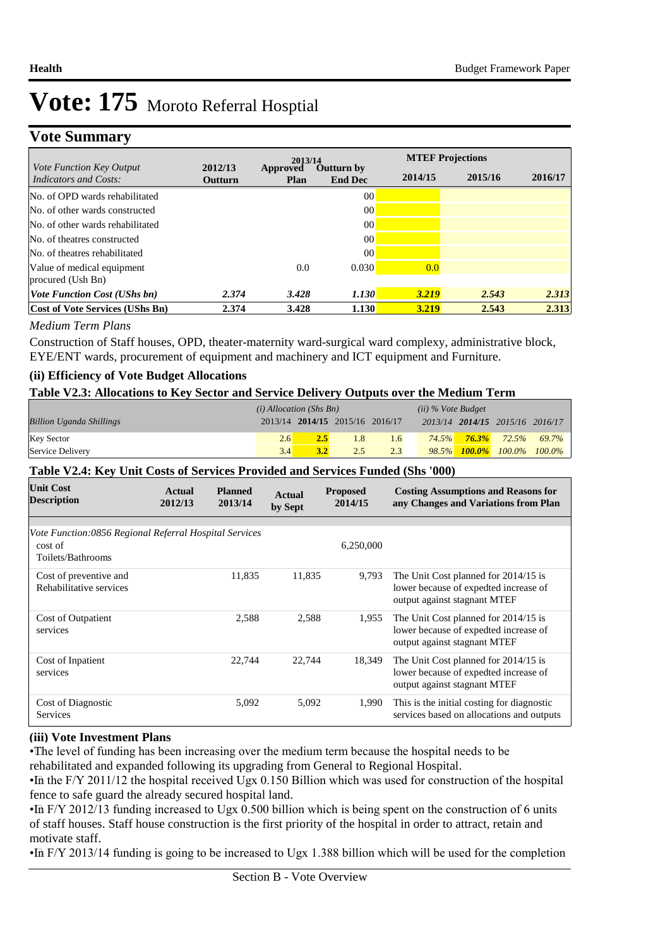## **Vote Summary**

|                                                          |                    | 2013/14                 |                                     |         | <b>MTEF Projections</b> |         |
|----------------------------------------------------------|--------------------|-------------------------|-------------------------------------|---------|-------------------------|---------|
| <i>Vote Function Key Output</i><br>Indicators and Costs: | 2012/13<br>Outturn | Approved<br><b>Plan</b> | <b>Outturn by</b><br><b>End Dec</b> | 2014/15 | 2015/16                 | 2016/17 |
| No. of OPD wards rehabilitated                           |                    |                         | 00                                  |         |                         |         |
| No. of other wards constructed                           |                    |                         | 00                                  |         |                         |         |
| No. of other wards rehabilitated                         |                    |                         | 00                                  |         |                         |         |
| No. of theatres constructed                              |                    |                         | 00                                  |         |                         |         |
| No. of theatres rehabilitated                            |                    |                         | 00                                  |         |                         |         |
| Value of medical equipment<br>procured (Ush Bn)          |                    | 0.0                     | 0.030                               | 0.0     |                         |         |
| <i>Vote Function Cost (UShs bn)</i>                      | 2.374              | 3.428                   | 1.130                               | 3.219   | 2.543                   | 2.313   |
| Cost of Vote Services (UShs Bn)                          | 2.374              | 3.428                   | 1.130                               | 3.219   | 2.543                   | 2.313   |

### *Medium Term Plans*

Construction of Staff houses, OPD, theater-maternity ward-surgical ward complexy, administrative block, EYE/ENT wards, procurement of equipment and machinery and ICT equipment and Furniture.

## **(ii) Efficiency of Vote Budget Allocations**

### **Table V2.3: Allocations to Key Sector and Service Delivery Outputs over the Medium Term**

|                                 | $(i)$ Allocation (Shs Bn) |                                 |     |     | $(ii)$ % Vote Budget |                                 |       |
|---------------------------------|---------------------------|---------------------------------|-----|-----|----------------------|---------------------------------|-------|
| <b>Billion Uganda Shillings</b> |                           | 2013/14 2014/15 2015/16 2016/17 |     |     |                      | 2013/14 2014/15 2015/16 2016/17 |       |
| <b>Key Sector</b>               | 2.6                       |                                 | 1.8 | 1.6 |                      | $74.5\%$ $76.3\%$ $72.5\%$      | 69.7% |
| Service Delivery                | 3.4                       | 3.2                             | 2.5 | 2.3 |                      | $98.5\%$ 100.0% 100.0% 100.0%   |       |

## **Table V2.4: Key Unit Costs of Services Provided and Services Funded (Shs '000)**

| <b>Unit Cost</b><br><b>Description</b>                 | Actual<br>2012/13 | <b>Planned</b><br>2013/14 | <b>Actual</b><br>by Sept | <b>Proposed</b><br>2014/15 | <b>Costing Assumptions and Reasons for</b><br>any Changes and Variations from Plan |
|--------------------------------------------------------|-------------------|---------------------------|--------------------------|----------------------------|------------------------------------------------------------------------------------|
|                                                        |                   |                           |                          |                            |                                                                                    |
| Vote Function:0856 Regional Referral Hospital Services |                   |                           |                          |                            |                                                                                    |
| cost of                                                |                   |                           |                          | 6,250,000                  |                                                                                    |
| Toilets/Bathrooms                                      |                   |                           |                          |                            |                                                                                    |
| Cost of preventive and                                 |                   | 11,835                    | 11,835                   | 9,793                      | The Unit Cost planned for 2014/15 is                                               |
| Rehabilitative services                                |                   |                           |                          |                            | lower because of expedted increase of                                              |
|                                                        |                   |                           |                          |                            | output against stagnant MTEF                                                       |
| Cost of Outpatient                                     |                   | 2,588                     | 2,588                    | 1,955                      | The Unit Cost planned for 2014/15 is                                               |
| services                                               |                   |                           |                          |                            | lower because of expedted increase of                                              |
|                                                        |                   |                           |                          |                            | output against stagnant MTEF                                                       |
| Cost of Inpatient                                      |                   | 22.744                    | 22,744                   | 18,349                     | The Unit Cost planned for 2014/15 is                                               |
| services                                               |                   |                           |                          |                            | lower because of expedted increase of                                              |
|                                                        |                   |                           |                          |                            | output against stagnant MTEF                                                       |
| Cost of Diagnostic                                     |                   | 5,092                     | 5,092                    | 1,990                      | This is the initial costing for diagnostic                                         |
| <b>Services</b>                                        |                   |                           |                          |                            | services based on allocations and outputs                                          |

### **(iii) Vote Investment Plans**

• The level of funding has been increasing over the medium term because the hospital needs to be rehabilitated and expanded following its upgrading from General to Regional Hospital.

• In the F/Y 2011/12 the hospital received Ugx 0.150 Billion which was used for construction of the hospital fence to safe guard the already secured hospital land.

 $\cdot$ In F/Y 2012/13 funding increased to Ugx 0.500 billion which is being spent on the construction of 6 units of staff houses. Staff house construction is the first priority of the hospital in order to attract, retain and motivate staff.

• In F/Y 2013/14 funding is going to be increased to Ugx 1.388 billion which will be used for the completion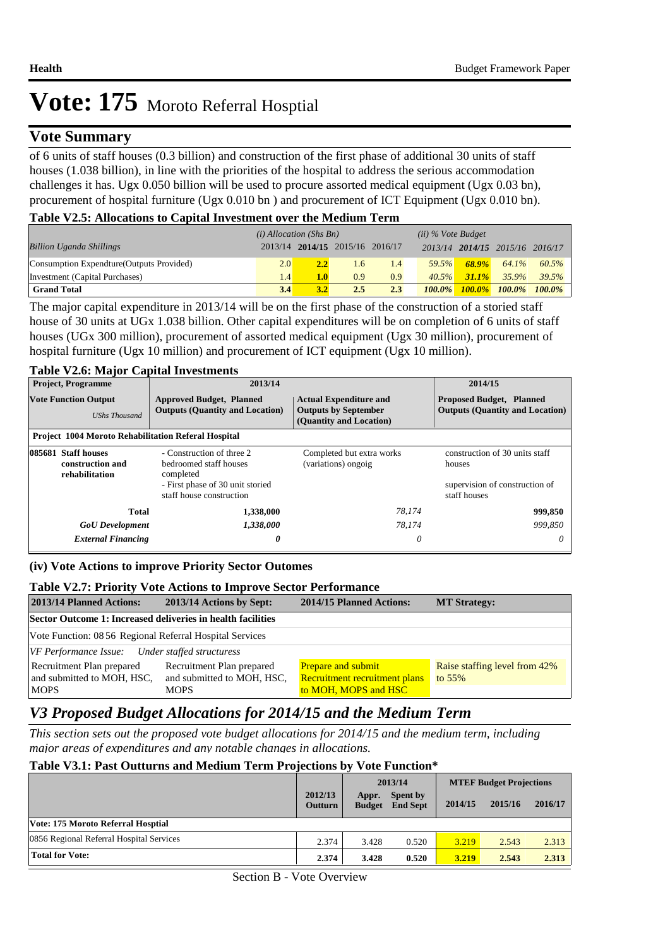## **Vote Summary**

of 6 units of staff houses (0.3 billion) and construction of the first phase of additional 30 units of staff houses (1.038 billion), in line with the priorities of the hospital to address the serious accommodation challenges it has. Ugx 0.050 billion will be used to procure assorted medical equipment (Ugx 0.03 bn), procurement of hospital furniture (Ugx 0.010 bn ) and procurement of ICT Equipment (Ugx 0.010 bn).

### **Table V2.5: Allocations to Capital Investment over the Medium Term**

|                                           | $(i)$ Allocation (Shs Bn) |     |                                 |     | $(ii)$ % Vote Budget |          |                                 |       |
|-------------------------------------------|---------------------------|-----|---------------------------------|-----|----------------------|----------|---------------------------------|-------|
| <b>Billion Uganda Shillings</b>           |                           |     | 2013/14 2014/15 2015/16 2016/17 |     |                      |          | 2013/14 2014/15 2015/16 2016/17 |       |
| Consumption Expendture (Outputs Provided) | 2.0                       | 2.2 | $1.6^{\circ}$                   | 1.4 | 59.5%                | $68.9\%$ | 64.1%                           | 60.5% |
| Investment (Capital Purchases)            | 1.4 <sup>r</sup>          | 1.0 | 0.9                             | 0.9 | $40.5\%$             | $31.1\%$ | 35.9%                           | 39.5% |
| <b>Grand Total</b>                        | 3.4                       | 3.2 | 2.5                             | 2.3 | $100.0\%$            |          | $100.0\%$ $100.0\%$ $100.0\%$   |       |

The major capital expenditure in 2013/14 will be on the first phase of the construction of a storied staff house of 30 units at UGx 1.038 billion. Other capital expenditures will be on completion of 6 units of staff houses (UGx 300 million), procurement of assorted medical equipment (Ugx 30 million), procurement of hospital furniture (Ugx 10 million) and procurement of ICT equipment (Ugx 10 million).

### **Table V2.6: Major Capital Investments**

| <b>Project, Programme</b>                                  | 2013/14                                                                                                                          |                                                                                                                                                                      | 2014/15                                                                                    |  |
|------------------------------------------------------------|----------------------------------------------------------------------------------------------------------------------------------|----------------------------------------------------------------------------------------------------------------------------------------------------------------------|--------------------------------------------------------------------------------------------|--|
| <b>Vote Function Output</b><br><b>UShs Thousand</b>        | <b>Approved Budget, Planned</b><br><b>Outputs (Quantity and Location)</b>                                                        | <b>Proposed Budget, Planned</b><br><b>Actual Expenditure and</b><br><b>Outputs by September</b><br><b>Outputs (Quantity and Location)</b><br>(Quantity and Location) |                                                                                            |  |
| <b>Project 1004 Moroto Rehabilitation Referal Hospital</b> |                                                                                                                                  |                                                                                                                                                                      |                                                                                            |  |
| 085681 Staff houses<br>construction and<br>rehabilitation  | - Construction of three 2<br>bedroomed staff houses<br>completed<br>- First phase of 30 unit storied<br>staff house construction | Completed but extra works<br>(variations) ongoig                                                                                                                     | construction of 30 units staff<br>houses<br>supervision of construction of<br>staff houses |  |
| <b>Total</b>                                               | 1,338,000                                                                                                                        | 78,174                                                                                                                                                               | 999,850                                                                                    |  |
| <b>GoU</b> Development                                     | 1,338,000                                                                                                                        | 78,174                                                                                                                                                               | 999.850                                                                                    |  |
| <b>External Financing</b>                                  | 0                                                                                                                                | 0                                                                                                                                                                    | 0                                                                                          |  |

### **(iv) Vote Actions to improve Priority Sector Outomes**

#### **Table V2.7: Priority Vote Actions to Improve Sector Performance**

| 2013/14 Planned Actions:                                    | 2013/14 Actions by Sept:                                | <b>2014/15 Planned Actions:</b>                            | <b>MT Strategy:</b>                       |  |  |  |
|-------------------------------------------------------------|---------------------------------------------------------|------------------------------------------------------------|-------------------------------------------|--|--|--|
| Sector Outcome 1: Increased deliveries in health facilities |                                                         |                                                            |                                           |  |  |  |
| Vote Function: 08 56 Regional Referral Hospital Services    |                                                         |                                                            |                                           |  |  |  |
| VF Performance Issue: Under staffed structuress             |                                                         |                                                            |                                           |  |  |  |
| Recruitment Plan prepared<br>and submitted to MOH, HSC,     | Recruitment Plan prepared<br>and submitted to MOH, HSC, | <b>Prepare and submit</b><br>Recruitment recruitment plans | Raise staffing level from 42%<br>to $55%$ |  |  |  |
| <b>MOPS</b>                                                 | <b>MOPS</b>                                             | to MOH, MOPS and HSC                                       |                                           |  |  |  |

## *V3 Proposed Budget Allocations for 2014/15 and the Medium Term*

*This section sets out the proposed vote budget allocations for 2014/15 and the medium term, including major areas of expenditures and any notable changes in allocations.* 

#### **Table V3.1: Past Outturns and Medium Term Projections by Vote Function\***

|                                          |                           | 2013/14                |                             | <b>MTEF Budget Projections</b> |         |         |
|------------------------------------------|---------------------------|------------------------|-----------------------------|--------------------------------|---------|---------|
|                                          | 2012/13<br><b>Outturn</b> | Appr.<br><b>Budget</b> | Spent by<br><b>End Sept</b> | 2014/15                        | 2015/16 | 2016/17 |
| Vote: 175 Moroto Referral Hosptial       |                           |                        |                             |                                |         |         |
| 0856 Regional Referral Hospital Services | 2.374                     | 3.428                  | 0.520                       | 3.219                          | 2.543   | 2.313   |
| <b>Total for Vote:</b>                   | 2.374                     | 3.428                  | 0.520                       | 3.219                          | 2.543   | 2.313   |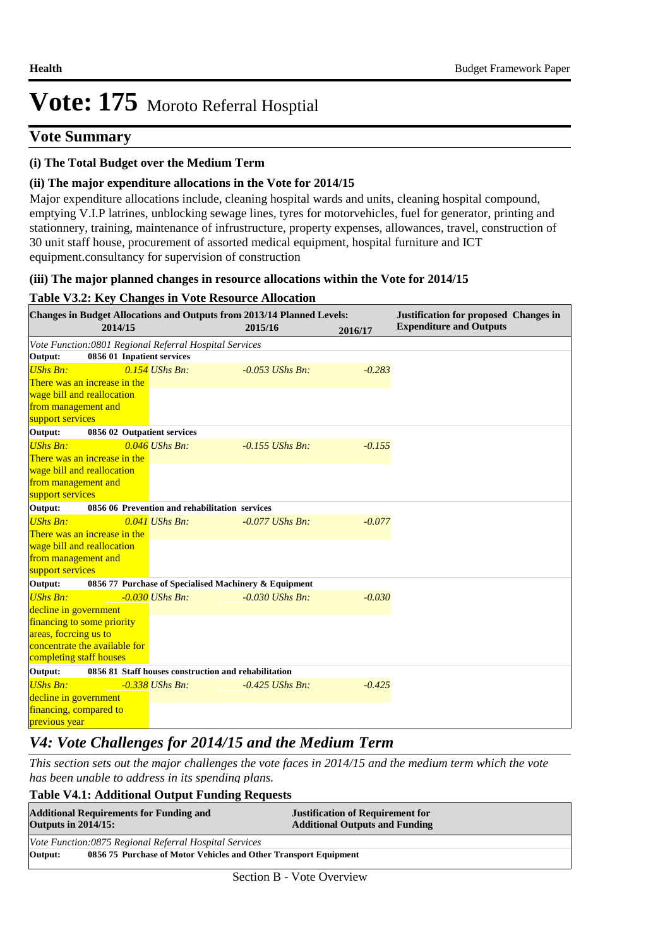## **Vote Summary**

### **(i) The Total Budget over the Medium Term**

### **(ii) The major expenditure allocations in the Vote for 2014/15**

Major expenditure allocations include, cleaning hospital wards and units, cleaning hospital compound, emptying V.I.P latrines, unblocking sewage lines, tyres for motorvehicles, fuel for generator, printing and stationnery, training, maintenance of infrustructure, property expenses, allowances, travel, construction of 30 unit staff house, procurement of assorted medical equipment, hospital furniture and ICT equipment.consultancy for supervision of construction

### **(iii) The major planned changes in resource allocations within the Vote for 2014/15**

### **Table V3.2: Key Changes in Vote Resource Allocation**

|                         |                               | <b>Changes in Budget Allocations and Outputs from 2013/14 Planned Levels:</b> |         |                   |          | <b>Justification for proposed Changes in</b> |
|-------------------------|-------------------------------|-------------------------------------------------------------------------------|---------|-------------------|----------|----------------------------------------------|
|                         | 2014/15                       |                                                                               | 2015/16 |                   | 2016/17  | <b>Expenditure and Outputs</b>               |
|                         |                               | Vote Function:0801 Regional Referral Hospital Services                        |         |                   |          |                                              |
| Output:                 | 0856 01 Inpatient services    |                                                                               |         |                   |          |                                              |
| <b>UShs Bn:</b>         |                               | $0.154$ UShs Bn:                                                              |         | $-0.053$ UShs Bn: | $-0.283$ |                                              |
|                         | There was an increase in the  |                                                                               |         |                   |          |                                              |
|                         | wage bill and reallocation    |                                                                               |         |                   |          |                                              |
| from management and     |                               |                                                                               |         |                   |          |                                              |
| support services        |                               |                                                                               |         |                   |          |                                              |
| Output:                 | 0856 02 Outpatient services   |                                                                               |         |                   |          |                                              |
| <b>UShs Bn:</b>         |                               | $0.046$ UShs Bn:                                                              |         | $-0.155$ UShs Bn: | $-0.155$ |                                              |
|                         | There was an increase in the  |                                                                               |         |                   |          |                                              |
|                         | wage bill and reallocation    |                                                                               |         |                   |          |                                              |
| from management and     |                               |                                                                               |         |                   |          |                                              |
| support services        |                               |                                                                               |         |                   |          |                                              |
| Output:                 |                               | 0856 06 Prevention and rehabilitation services                                |         |                   |          |                                              |
| <b>UShs Bn:</b>         |                               | $0.041$ UShs Bn:                                                              |         | $-0.077$ UShs Bn: | $-0.077$ |                                              |
|                         | There was an increase in the  |                                                                               |         |                   |          |                                              |
|                         | wage bill and reallocation    |                                                                               |         |                   |          |                                              |
| from management and     |                               |                                                                               |         |                   |          |                                              |
| support services        |                               |                                                                               |         |                   |          |                                              |
| Output:                 |                               | 0856 77 Purchase of Specialised Machinery & Equipment                         |         |                   |          |                                              |
| <b>UShs Bn:</b>         |                               | $-0.030$ UShs Bn:                                                             |         | $-0.030$ UShs Bn: | $-0.030$ |                                              |
| decline in government   |                               |                                                                               |         |                   |          |                                              |
|                         | financing to some priority    |                                                                               |         |                   |          |                                              |
| areas, focrcing us to   |                               |                                                                               |         |                   |          |                                              |
|                         | concentrate the available for |                                                                               |         |                   |          |                                              |
| completing staff houses |                               |                                                                               |         |                   |          |                                              |
| Output:                 |                               | 0856 81 Staff houses construction and rehabilitation                          |         |                   |          |                                              |
| <b>UShs Bn:</b>         |                               | $-0.338$ UShs Bn:                                                             |         | $-0.425$ UShs Bn: | $-0.425$ |                                              |
| decline in government   |                               |                                                                               |         |                   |          |                                              |
| financing, compared to  |                               |                                                                               |         |                   |          |                                              |
| previous year           |                               |                                                                               |         |                   |          |                                              |

## *V4: Vote Challenges for 2014/15 and the Medium Term*

*This section sets out the major challenges the vote faces in 2014/15 and the medium term which the vote has been unable to address in its spending plans.*

| <b>Additional Requirements for Funding and</b><br><b>Outputs in 2014/15:</b> | <b>Justification of Requirement for</b><br><b>Additional Outputs and Funding</b> |  |  |
|------------------------------------------------------------------------------|----------------------------------------------------------------------------------|--|--|
| Vote Function:0875 Regional Referral Hospital Services                       |                                                                                  |  |  |
| 0856 75 Purchase of Motor Vehicles and Other Transport Equipment<br>Output:  |                                                                                  |  |  |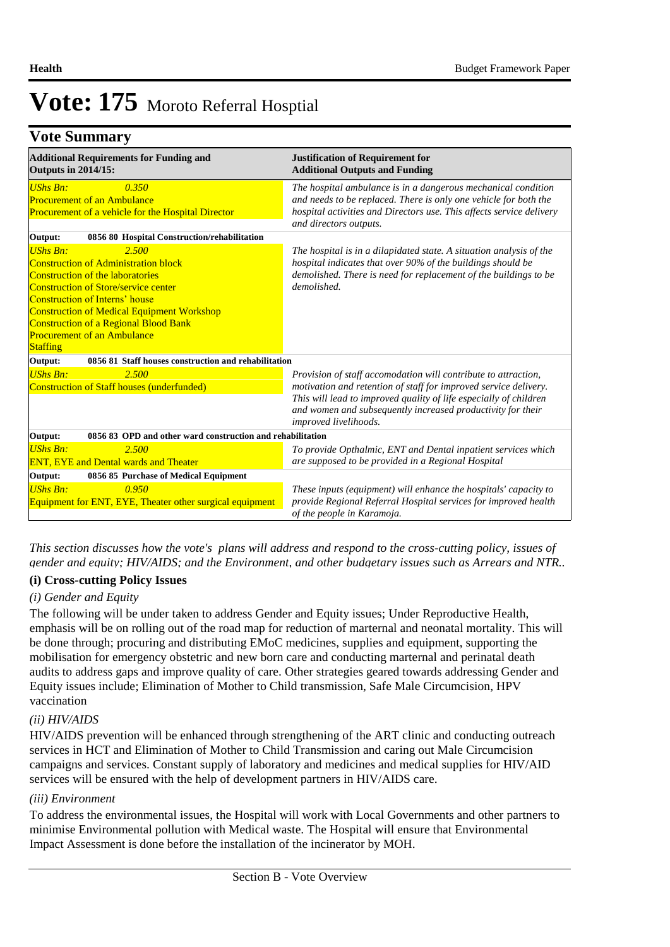## **Vote Summary**

| <b>Additional Requirements for Funding and</b><br><b>Outputs in 2014/15:</b>                                                                                                                                                                                                                                                                               | <b>Justification of Requirement for</b><br><b>Additional Outputs and Funding</b>                                                                                                                                                                                                                |  |  |  |  |
|------------------------------------------------------------------------------------------------------------------------------------------------------------------------------------------------------------------------------------------------------------------------------------------------------------------------------------------------------------|-------------------------------------------------------------------------------------------------------------------------------------------------------------------------------------------------------------------------------------------------------------------------------------------------|--|--|--|--|
| <b>UShs Bn:</b><br>0.350<br><b>Procurement of an Ambulance</b><br>Procurement of a vehicle for the Hospital Director                                                                                                                                                                                                                                       | The hospital ambulance is in a dangerous mechanical condition<br>and needs to be replaced. There is only one vehicle for both the<br>hospital activities and Directors use. This affects service delivery<br>and directors outputs.                                                             |  |  |  |  |
| 0856 80 Hospital Construction/rehabilitation<br>Output:                                                                                                                                                                                                                                                                                                    |                                                                                                                                                                                                                                                                                                 |  |  |  |  |
| <b>UShs Bn:</b><br>2.500<br><b>Construction of Administration block</b><br>Construction of the laboratories<br><b>Construction of Store/service center</b><br>Construction of Interns' house<br><b>Construction of Medical Equipment Workshop</b><br><b>Construction of a Regional Blood Bank</b><br><b>Procurement of an Ambulance</b><br><b>Staffing</b> | The hospital is in a dilapidated state. A situation analysis of the<br>hospital indicates that over 90% of the buildings should be<br>demolished. There is need for replacement of the buildings to be<br>demolished.                                                                           |  |  |  |  |
| 0856 81 Staff houses construction and rehabilitation<br>Output:                                                                                                                                                                                                                                                                                            |                                                                                                                                                                                                                                                                                                 |  |  |  |  |
| 2.500<br><b>UShs Bn:</b><br>Construction of Staff houses (underfunded)                                                                                                                                                                                                                                                                                     | Provision of staff accomodation will contribute to attraction,<br>motivation and retention of staff for improved service delivery.<br>This will lead to improved quality of life especially of children<br>and women and subsequently increased productivity for their<br>improved livelihoods. |  |  |  |  |
| 0856 83 OPD and other ward construction and rehabilitation<br>Output:                                                                                                                                                                                                                                                                                      |                                                                                                                                                                                                                                                                                                 |  |  |  |  |
| UShs Bn:<br>2.500<br><b>ENT, EYE and Dental wards and Theater</b>                                                                                                                                                                                                                                                                                          | To provide Opthalmic, ENT and Dental inpatient services which<br>are supposed to be provided in a Regional Hospital                                                                                                                                                                             |  |  |  |  |
| Output:<br>0856 85 Purchase of Medical Equipment                                                                                                                                                                                                                                                                                                           |                                                                                                                                                                                                                                                                                                 |  |  |  |  |
| UShs Bn:<br>0.950<br><b>Equipment for ENT, EYE, Theater other surgical equipment</b>                                                                                                                                                                                                                                                                       | These inputs (equipment) will enhance the hospitals' capacity to<br>provide Regional Referral Hospital services for improved health<br>of the people in Karamoja.                                                                                                                               |  |  |  |  |

*This section discusses how the vote's plans will address and respond to the cross-cutting policy, issues of gender and equity; HIV/AIDS; and the Environment, and other budgetary issues such as Arrears and NTR..* 

## **(i) Cross-cutting Policy Issues**

## *(i) Gender and Equity*

The following will be under taken to address Gender and Equity issues; Under Reproductive Health, emphasis will be on rolling out of the road map for reduction of marternal and neonatal mortality. This will be done through; procuring and distributing EMoC medicines, supplies and equipment, supporting the mobilisation for emergency obstetric and new born care and conducting marternal and perinatal death audits to address gaps and improve quality of care. Other strategies geared towards addressing Gender and Equity issues include; Elimination of Mother to Child transmission, Safe Male Circumcision, HPV vaccination

## *(ii) HIV/AIDS*

HIV/AIDS prevention will be enhanced through strengthening of the ART clinic and conducting outreach services in HCT and Elimination of Mother to Child Transmission and caring out Male Circumcision campaigns and services. Constant supply of laboratory and medicines and medical supplies for HIV/AID services will be ensured with the help of development partners in HIV/AIDS care.

### *(iii) Environment*

To address the environmental issues, the Hospital will work with Local Governments and other partners to minimise Environmental pollution with Medical waste. The Hospital will ensure that Environmental Impact Assessment is done before the installation of the incinerator by MOH.